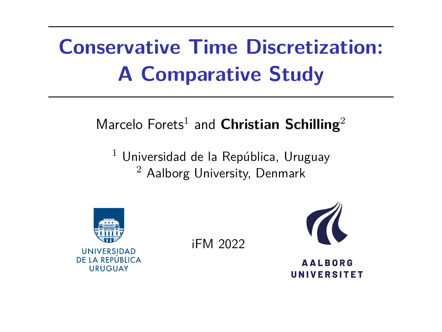# **Conservative Time Discretization: A Comparative Study**

#### Marcelo Forets $^1$  and  ${\sf Christian}$   ${\sf Schilling}^2$

 $1$  Universidad de la República, Uruguay <sup>2</sup> Aalborg University, Denmark



iFM 2022



**AALBORG UNIVERSITET**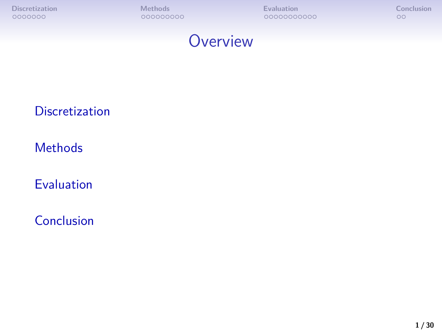

#### **[Discretization](#page-2-0)**

**[Methods](#page-10-0)** 

[Evaluation](#page-21-0)

[Conclusion](#page-32-0)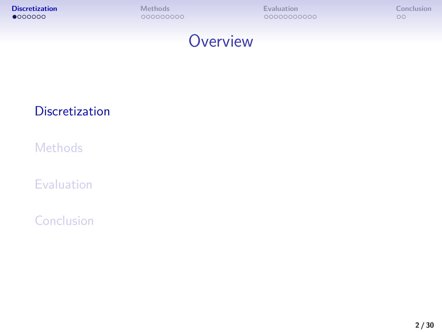<span id="page-2-0"></span>



#### **[Discretization](#page-2-0)**

**[Methods](#page-10-0)** 

[Evaluation](#page-21-0)

[Conclusion](#page-32-0)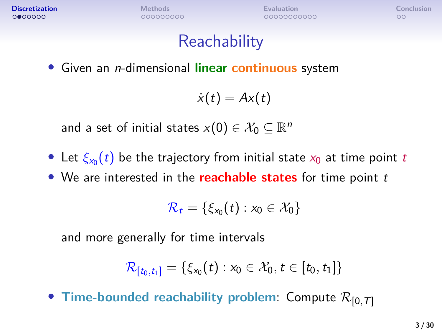$0000000$ 

**[Discretization](#page-2-0) [Methods](#page-10-0) [Evaluation](#page-21-0) [Conclusion](#page-32-0)**

 $\circ$ 

## **Reachability**

• Given an n-dimensional **linear continuous** system

$$
\dot{x}(t) = Ax(t)
$$

and a set of initial states  $x(0) \in \mathcal{X}_0 \subseteq \mathbb{R}^n$ 

- Let  $\xi_{x_0}(t)$  be the trajectory from initial state  $x_0$  at time point  $t$
- We are interested in the **reachable states** for time point t

$$
\mathcal{R}_t = \{\xi_{x_0}(t) : x_0 \in \mathcal{X}_0\}
$$

and more generally for time intervals

$$
\mathcal{R}_{[t_0,t_1]}=\{\xi_{x_0}(t):x_0\in\mathcal{X}_0,t\in[t_0,t_1]\}
$$

• **Time-bounded reachability problem:** Compute  $\mathcal{R}_{[0, T]}$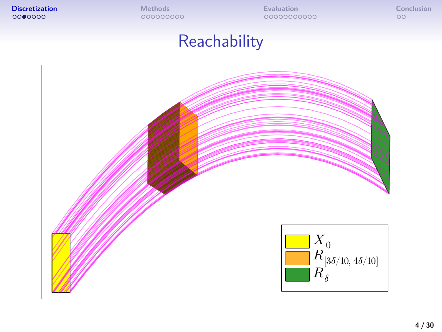## **Reachability**

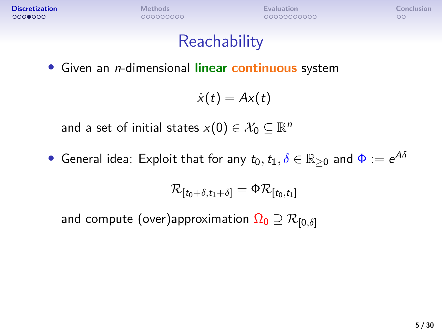$00$ 

## **Reachability**

• Given an n-dimensional **linear continuous** system

$$
\dot{x}(t) = Ax(t)
$$

and a set of initial states  $x(0) \in \mathcal{X}_0 \subseteq \mathbb{R}^n$ 

 $\bullet$  General idea: Exploit that for any  $t_0, t_1, \delta \in \mathbb{R}_{\geq 0}$  and  $\Phi := e^{A \delta}$ 

$$
\mathcal{R}_{[t_0+\delta,t_1+\delta]}=\Phi\mathcal{R}_{[t_0,t_1]}
$$

and compute (over)approximation  $\Omega_0 \supseteq \mathcal{R}_{[0,\delta]}$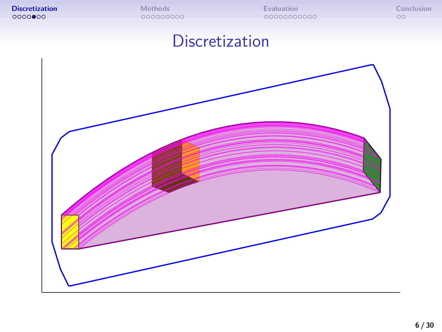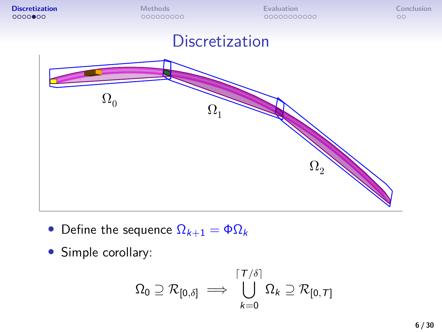

- Define the sequence  $\Omega_{k+1} = \Phi \Omega_k$
- Simple corollary:

$$
\Omega_0 \supseteq \mathcal{R}_{[0,\delta]} \implies \bigcup_{k=0}^{\lceil T/\delta \rceil} \Omega_k \supseteq \mathcal{R}_{[0,T]}
$$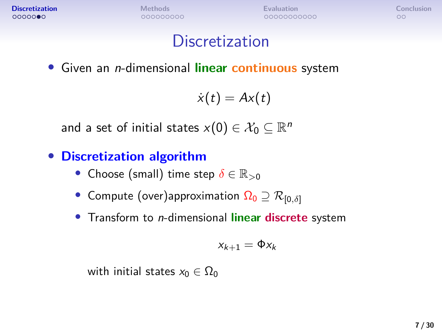$\circ$ 

#### **Discretization**

• Given an n-dimensional **linear continuous** system

 $\dot{x}(t) = Ax(t)$ 

and a set of initial states  $x(0) \in \mathcal{X}_0 \subseteq \mathbb{R}^n$ 

#### • **Discretization algorithm**

- Choose (small) time step *δ* ∈ R*>*<sup>0</sup>
- Compute (over)approximation  $\Omega_0 \supseteq \mathcal{R}_{[0,\delta]}$
- Transform to n-dimensional **linear discrete** system

$$
x_{k+1} = \Phi x_k
$$

with initial states  $x_0 \in \Omega_0$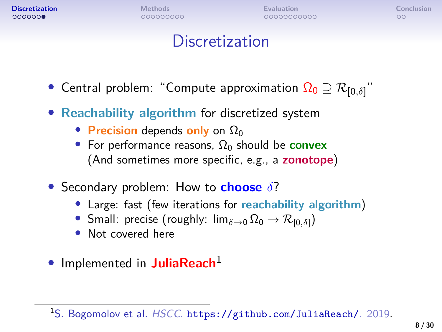$000000$ 

000000000

**[Discretization](#page-2-0) [Methods](#page-10-0) [Evaluation](#page-21-0) [Conclusion](#page-32-0)** 00000000000

 $\circ$ 

## **Discretization**

- Central problem: "Compute approximation  $\Omega_0 \supseteq \mathcal{R}_{[0,\delta]}$ "
- **Reachability algorithm** for discretized system
	- **Precision** depends **only** on  $\Omega_0$
	- For performance reasons,  $\Omega_0$  should be **convex** (And sometimes more specific, e.g., a **zonotope**)
- Secondary problem: How to **choose** *δ*?
	- Large: fast (few iterations for **reachability algorithm**)
	- Small: precise (roughly:  $\lim_{\delta \to 0} \Omega_0 \to \mathcal{R}_{[0,\delta]}$ )
	- Not covered here
- Implemented in **JuliaReach**<sup>1</sup>

<sup>1</sup>S. Bogomolov et al. HSCC. <https://github.com/JuliaReach/>. 2019.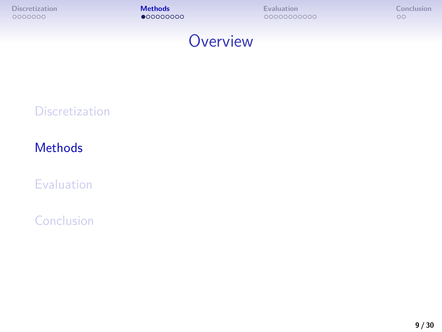<span id="page-10-0"></span>

## **Overview**

#### **[Discretization](#page-2-0)**

#### **[Methods](#page-10-0)**

[Evaluation](#page-21-0)

[Conclusion](#page-32-0)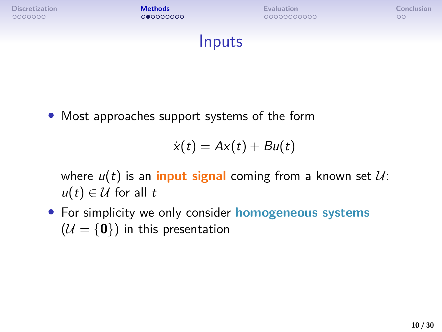**[Discretization](#page-2-0) [Methods](#page-10-0) [Evaluation](#page-21-0) [Conclusion](#page-32-0)**

Inputs

• Most approaches support systems of the form

$$
\dot{x}(t) = Ax(t) + Bu(t)
$$

where  $u(t)$  is an **input signal** coming from a known set  $U$ :  $u(t) \in \mathcal{U}$  for all t

• For simplicity we only consider **homogeneous systems**  $(U = \{0\})$  in this presentation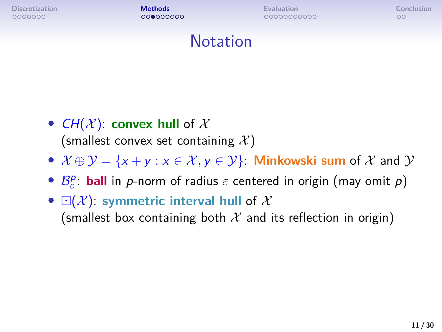0000000

**[Discretization](#page-2-0) [Methods](#page-10-0) [Evaluation](#page-21-0) [Conclusion](#page-32-0)**

 $\circ$ 

#### Notation

- $CH(X)$ : **convex hull** of X (smallest convex set containing  $\mathcal{X}$ )
- $\mathcal{X} \oplus \mathcal{Y} = \{x + y : x \in \mathcal{X}, y \in \mathcal{Y}\}\)$  Minkowski sum of  $\mathcal{X}$  and  $\mathcal{Y}$
- $B_{\varepsilon}^p$ : **ball** in *p*-norm of radius *ε* centered in origin (may omit *p*)
- $\Box(\mathcal{X})$ : symmetric interval hull of X (smallest box containing both  $\mathcal X$  and its reflection in origin)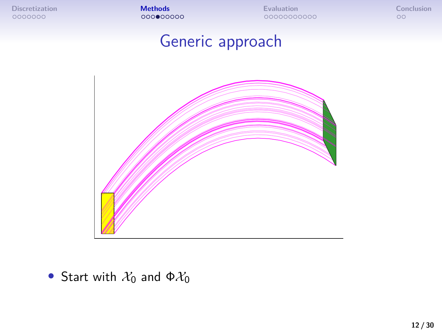## Generic approach



• Start with  $\mathcal{X}_0$  and  $\Phi \mathcal{X}_0$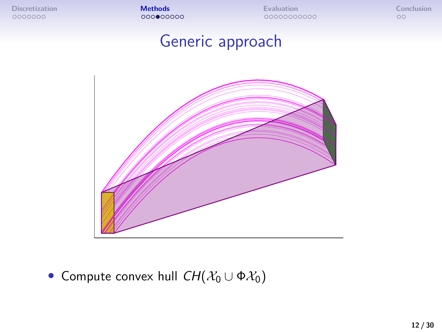## Generic approach



• Compute convex hull  $CH(X_0 \cup \Phi X_0)$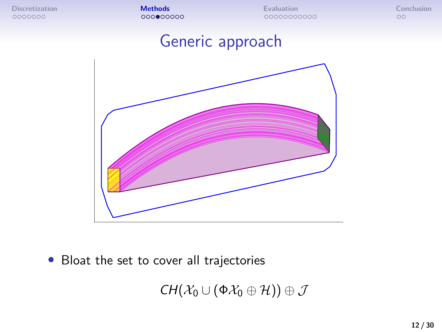#### Generic approach



• Bloat the set to cover all trajectories

 $CH(\mathcal{X}_0 \cup (\Phi \mathcal{X}_0 \oplus \mathcal{H})) \oplus \mathcal{J}$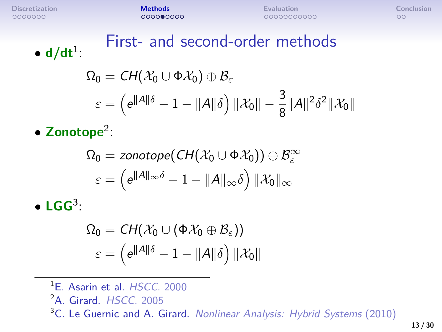#### First- and second-order methods  $\bullet$   $d/dt^1$ :

$$
\Omega_0 = \mathsf{CH}(\mathcal{X}_0 \cup \Phi \mathcal{X}_0) \oplus \mathcal{B}_{\varepsilon}
$$
\n
$$
\varepsilon = \left( e^{\|A\|\delta} - 1 - \|A\|\delta \right) \|\mathcal{X}_0\| - \frac{3}{8} \|A\|^2 \delta^2 \|\mathcal{X}_0\|
$$

• **Zonotope**<sup>2</sup> :

$$
\Omega_0 = \textit{zonotope}(\textit{CH}(\mathcal{X}_0 \cup \Phi \mathcal{X}_0)) \oplus \mathcal{B}_\varepsilon^\infty \\ \varepsilon = \left( e^{\|A\|_\infty \delta} - 1 - \|A\|_\infty \delta \right) \|\mathcal{X}_0\|_\infty
$$

• **LGG**<sup>3</sup> :

$$
\begin{aligned} \Omega_0&=CH(\mathcal{X}_0\cup(\Phi\mathcal{X}_0\oplus\mathcal{B}_{\varepsilon}))\\ \varepsilon&=\left(e^{\|A\|\delta}-1-\|A\|\delta\right)\|\mathcal{X}_0\| \end{aligned}
$$

- <sup>1</sup>E. Asarin et al. HSCC. 2000
- <sup>2</sup>A. Girard. HSCC. 2005

<sup>3</sup>C. Le Guernic and A. Girard. Nonlinear Analysis: Hybrid Systems (2010)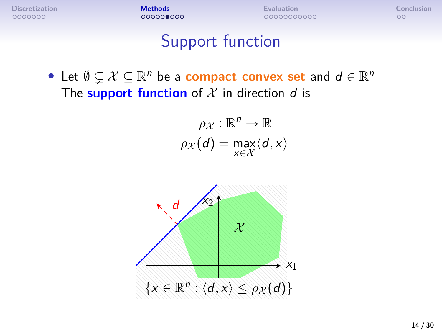## Support function

• Let  $\emptyset \subsetneq \mathcal{X} \subseteq \mathbb{R}^n$  be a **compact convex set** and  $d \in \mathbb{R}^n$ The **support function** of  $X$  in direction  $d$  is

$$
\rho_{\mathcal{X}} : \mathbb{R}^n \to \mathbb{R}
$$

$$
\rho_{\mathcal{X}}(d) = \max_{x \in \mathcal{X}} \langle d, x \rangle
$$

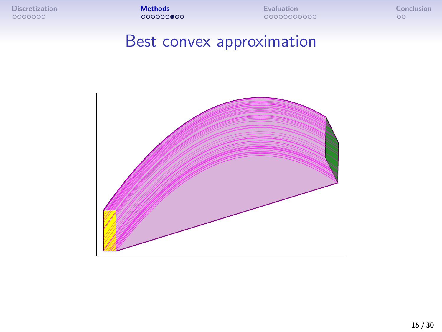## Best convex approximation

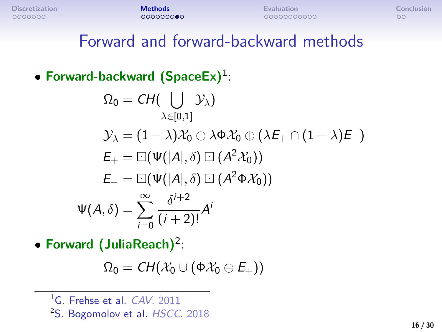#### Forward and forward-backward methods

#### • **Forward-backward (SpaceEx)**<sup>1</sup> :

$$
\Omega_0 = CH(\bigcup_{\lambda \in [0,1]} \mathcal{Y}_{\lambda})
$$
\n
$$
\mathcal{Y}_{\lambda} = (1 - \lambda)\mathcal{X}_0 \oplus \lambda \Phi \mathcal{X}_0 \oplus (\lambda E_+ \cap (1 - \lambda)E_-)
$$
\n
$$
E_+ = \Box(\Psi(|A|, \delta) \Box (A^2 \mathcal{X}_0))
$$
\n
$$
E_- = \Box(\Psi(|A|, \delta) \Box (A^2 \Phi \mathcal{X}_0))
$$
\n
$$
\Psi(A, \delta) = \sum_{i=0}^{\infty} \frac{\delta^{i+2}}{(i+2)!} A^i
$$

• **Forward (JuliaReach)**<sup>2</sup> :

$$
\Omega_0 = \mathit{CH}(\mathcal{X}_0 \cup (\Phi \mathcal{X}_0 \oplus E_+))
$$

<sup>&</sup>lt;sup>1</sup>G. Frehse et al. CAV. 2011

<sup>&</sup>lt;sup>2</sup>S. Bogomolov et al. HSCC. 2018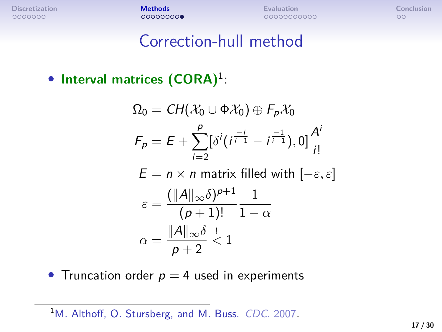#### Correction-hull method

• **Interval matrices (CORA)**<sup>1</sup> :

$$
\Omega_0 = CH(\mathcal{X}_0 \cup \Phi \mathcal{X}_0) \oplus F_p \mathcal{X}_0
$$
\n
$$
F_p = E + \sum_{i=2}^p [\delta^i(i^{\frac{-i}{i-1}} - i^{\frac{-1}{i-1}}), 0] \frac{A^i}{i!}
$$
\n
$$
E = n \times n \text{ matrix filled with } [-\varepsilon, \varepsilon]
$$
\n
$$
\varepsilon = \frac{(\|A\|_{\infty} \delta)^{p+1}}{(p+1)!} \frac{1}{1-\alpha}
$$
\n
$$
\alpha = \frac{\|A\|_{\infty} \delta}{p+2} < 1
$$

• Truncation order  $p = 4$  used in experiments

<sup>&</sup>lt;sup>1</sup>M. Althoff, O. Stursberg, and M. Buss. CDC. 2007.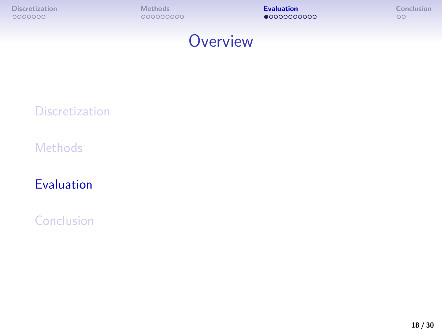<span id="page-21-0"></span>



#### **[Discretization](#page-2-0)**

**[Methods](#page-10-0)** 

[Evaluation](#page-21-0)

[Conclusion](#page-32-0)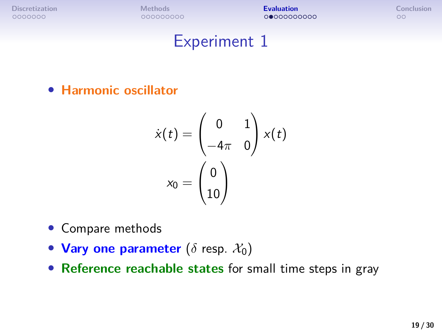#### Experiment 1

• **Harmonic oscillator**

$$
\dot{x}(t) = \begin{pmatrix} 0 & 1 \\ -4\pi & 0 \end{pmatrix} x(t)
$$

$$
x_0 = \begin{pmatrix} 0 \\ 10 \end{pmatrix}
$$

- Compare methods
- Vary one parameter  $(\delta$  resp.  $\mathcal{X}_0)$
- **Reference reachable states** for small time steps in gray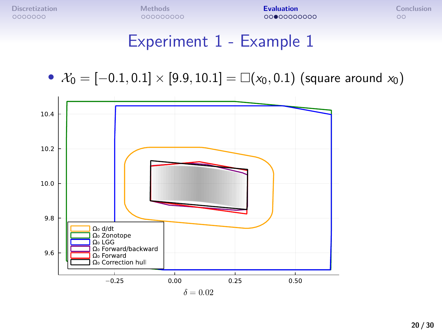## Experiment 1 - Example 1

•  $\mathcal{X}_0 = [-0.1, 0.1] \times [9.9, 10.1] = \Box(x_0, 0.1)$  (square around  $x_0$ )

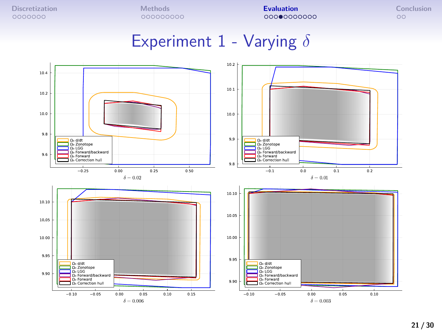## Experiment 1 - Varying *δ*

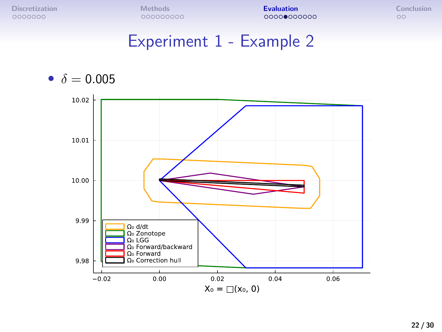#### Experiment 1 - Example 2

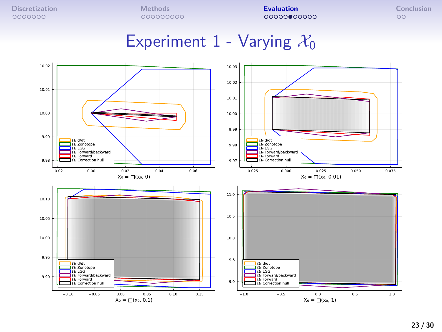#### Experiment 1 - Varying  $\mathcal{X}_0$

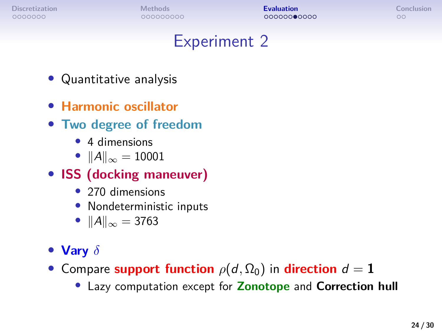$\circ$ 

### Experiment 2

- Quantitative analysis
- **Harmonic oscillator**
- **Two degree of freedom**
	- 4 dimensions
	- $||A||_{\infty} = 10001$
- **ISS (docking maneuver)**
	- 270 dimensions
	- Nondeterministic inputs
	- $||A||_{\infty} = 3763$

#### • **Vary** *δ*

- Compare **support function**  $\rho(d, \Omega_0)$  in **direction**  $d = 1$ 
	- Lazy computation except for **Zonotope** and **Correction hull**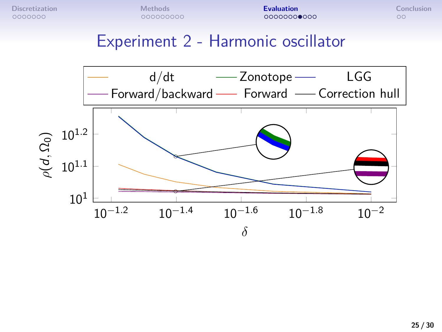#### Experiment 2 - Harmonic oscillator

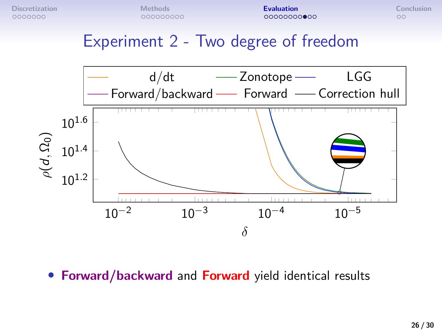#### Experiment 2 - Two degree of freedom



10−<sup>5</sup> • **Forward/backward** and **Forward** yield identical results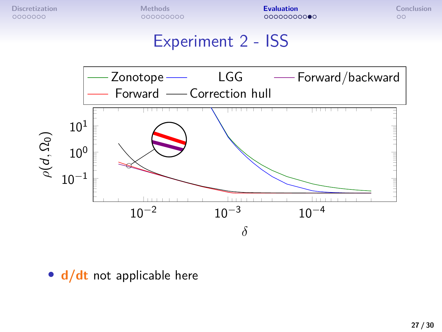## Experiment 2 - ISS



• **d/dt** not applicable here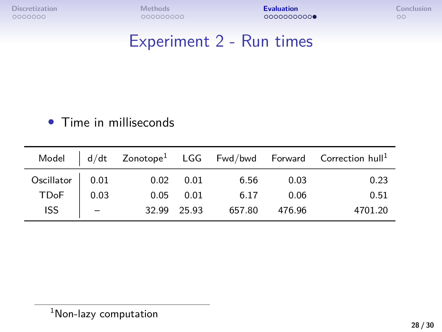## Experiment 2 - Run times

#### • Time in milliseconds

|                                       |             |             |           |               | $\textsf{Model}~~\Big ~\texttt{d/dt}~~\textsf{Zonotope}^1~~\textsf{LGG}~~\textsf{Fwd/bwd}~~\textsf{Forward}~~\textsf{Correction hull}^1$ |
|---------------------------------------|-------------|-------------|-----------|---------------|------------------------------------------------------------------------------------------------------------------------------------------|
| Oscillator 0.01<br>TDoF 0.03<br>ISS - | $0.02$ 0.01 |             | 6.56 0.03 |               | 0.23                                                                                                                                     |
|                                       |             | $0.05$ 0.01 | 6.17 0.06 |               | 0.51                                                                                                                                     |
|                                       |             | 32.99 25.93 |           | 657.80 476.96 | 4701.20                                                                                                                                  |

<sup>&</sup>lt;sup>1</sup>Non-lazy computation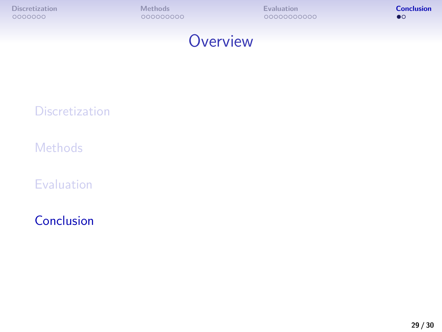<span id="page-32-0"></span>



#### **[Discretization](#page-2-0)**

**[Methods](#page-10-0)** 

[Evaluation](#page-21-0)

[Conclusion](#page-32-0)